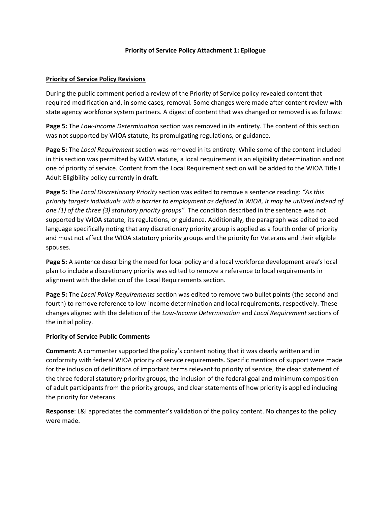## **Priority of Service Policy Attachment 1: Epilogue**

## **Priority of Service Policy Revisions**

During the public comment period a review of the Priority of Service policy revealed content that required modification and, in some cases, removal. Some changes were made after content review with state agency workforce system partners. A digest of content that was changed or removed is as follows:

**Page 5:** The *Low-Income Determination* section was removed in its entirety. The content of this section was not supported by WIOA statute, its promulgating regulations, or guidance.

**Page 5:** The *Local Requirement* section was removed in its entirety. While some of the content included in this section was permitted by WIOA statute, a local requirement is an eligibility determination and not one of priority of service. Content from the Local Requirement section will be added to the WIOA Title I Adult Eligibility policy currently in draft.

**Page 5:** The *Local Discretionary Priority* section was edited to remove a sentence reading: *"As this priority targets individuals with a barrier to employment as defined in WIOA, it may be utilized instead of one (1) of the three (3) statutory priority groups".* The condition described in the sentence was not supported by WIOA statute, its regulations, or guidance. Additionally, the paragraph was edited to add language specifically noting that any discretionary priority group is applied as a fourth order of priority and must not affect the WIOA statutory priority groups and the priority for Veterans and their eligible spouses.

**Page 5:** A sentence describing the need for local policy and a local workforce development area's local plan to include a discretionary priority was edited to remove a reference to local requirements in alignment with the deletion of the Local Requirements section.

**Page 5:** The *Local Policy Requirements* section was edited to remove two bullet points (the second and fourth) to remove reference to low-income determination and local requirements, respectively. These changes aligned with the deletion of the *Low-Income Determination* and *Local Requirement* sections of the initial policy.

## **Priority of Service Public Comments**

**Comment**: A commenter supported the policy's content noting that it was clearly written and in conformity with federal WIOA priority of service requirements. Specific mentions of support were made for the inclusion of definitions of important terms relevant to priority of service, the clear statement of the three federal statutory priority groups, the inclusion of the federal goal and minimum composition of adult participants from the priority groups, and clear statements of how priority is applied including the priority for Veterans

**Response**: L&I appreciates the commenter's validation of the policy content. No changes to the policy were made.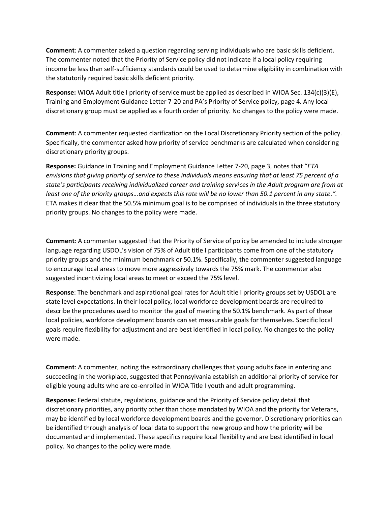**Comment**: A commenter asked a question regarding serving individuals who are basic skills deficient. The commenter noted that the Priority of Service policy did not indicate if a local policy requiring income be less than self-sufficiency standards could be used to determine eligibility in combination with the statutorily required basic skills deficient priority.

**Response:** WIOA Adult title I priority of service must be applied as described in WIOA Sec. 134(c)(3)(E), Training and Employment Guidance Letter 7-20 and PA's Priority of Service policy, page 4. Any local discretionary group must be applied as a fourth order of priority. No changes to the policy were made.

**Comment**: A commenter requested clarification on the Local Discretionary Priority section of the policy. Specifically, the commenter asked how priority of service benchmarks are calculated when considering discretionary priority groups.

**Response:** Guidance in Training and Employment Guidance Letter 7-20, page 3, notes that "*ETA envisions that giving priority of service to these individuals means ensuring that at least 75 percent of a state's participants receiving individualized career and training services in the Adult program are from at least one of the priority groups…and expects this rate will be no lower than 50.1 percent in any state.".*  ETA makes it clear that the 50.5% minimum goal is to be comprised of individuals in the three statutory priority groups. No changes to the policy were made.

**Comment**: A commenter suggested that the Priority of Service of policy be amended to include stronger language regarding USDOL's vision of 75% of Adult title I participants come from one of the statutory priority groups and the minimum benchmark or 50.1%. Specifically, the commenter suggested language to encourage local areas to move more aggressively towards the 75% mark. The commenter also suggested incentivizing local areas to meet or exceed the 75% level.

**Response**: The benchmark and aspirational goal rates for Adult title I priority groups set by USDOL are state level expectations. In their local policy, local workforce development boards are required to describe the procedures used to monitor the goal of meeting the 50.1% benchmark. As part of these local policies, workforce development boards can set measurable goals for themselves. Specific local goals require flexibility for adjustment and are best identified in local policy. No changes to the policy were made.

**Comment**: A commenter, noting the extraordinary challenges that young adults face in entering and succeeding in the workplace, suggested that Pennsylvania establish an additional priority of service for eligible young adults who are co-enrolled in WIOA Title I youth and adult programming.

**Response:** Federal statute, regulations, guidance and the Priority of Service policy detail that discretionary priorities, any priority other than those mandated by WIOA and the priority for Veterans, may be identified by local workforce development boards and the governor. Discretionary priorities can be identified through analysis of local data to support the new group and how the priority will be documented and implemented. These specifics require local flexibility and are best identified in local policy. No changes to the policy were made.